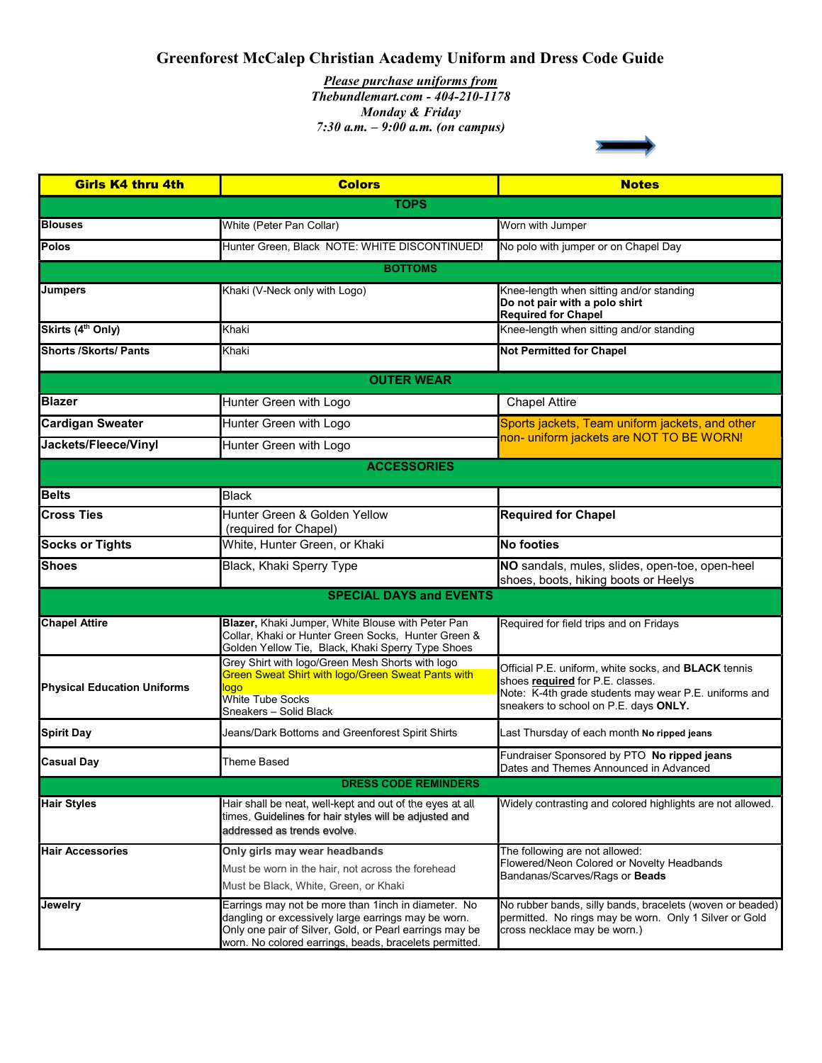## Greenforest McCalep Christian Academy Uniform and Dress Code Guide

7:30 a.m.  $-9:00$  a.m. (on campus) Please purchase uniforms from Thebundlemart.com - 404-210-1178 Monday & Friday

| <b>Girls K4 thru 4th</b>           | <b>Colors</b>                                                                                                                                                                                                                    | <b>Notes</b>                                                                                                                                                                                      |
|------------------------------------|----------------------------------------------------------------------------------------------------------------------------------------------------------------------------------------------------------------------------------|---------------------------------------------------------------------------------------------------------------------------------------------------------------------------------------------------|
| <b>TOPS</b>                        |                                                                                                                                                                                                                                  |                                                                                                                                                                                                   |
| <b>Blouses</b>                     | White (Peter Pan Collar)                                                                                                                                                                                                         | Worn with Jumper                                                                                                                                                                                  |
| <b>Polos</b>                       | Hunter Green, Black NOTE: WHITE DISCONTINUED!                                                                                                                                                                                    | No polo with jumper or on Chapel Day                                                                                                                                                              |
|                                    | <b>BOTTOMS</b>                                                                                                                                                                                                                   |                                                                                                                                                                                                   |
| <b>Jumpers</b>                     | Khaki (V-Neck only with Logo)                                                                                                                                                                                                    | Knee-length when sitting and/or standing<br>Do not pair with a polo shirt<br><b>Required for Chapel</b>                                                                                           |
| Skirts (4 <sup>th</sup> Only)      | Khaki                                                                                                                                                                                                                            | Knee-length when sitting and/or standing                                                                                                                                                          |
| <b>Shorts /Skorts/ Pants</b>       | Khaki                                                                                                                                                                                                                            | <b>Not Permitted for Chapel</b>                                                                                                                                                                   |
|                                    | <b>OUTER WEAR</b>                                                                                                                                                                                                                |                                                                                                                                                                                                   |
| <b>Blazer</b>                      | Hunter Green with Logo                                                                                                                                                                                                           | <b>Chapel Attire</b>                                                                                                                                                                              |
| <b>Cardigan Sweater</b>            | Hunter Green with Logo                                                                                                                                                                                                           | Sports jackets, Team uniform jackets, and other<br>non- uniform jackets are NOT TO BE WORN!                                                                                                       |
| Jackets/Fleece/Vinyl               | Hunter Green with Logo                                                                                                                                                                                                           |                                                                                                                                                                                                   |
|                                    | <b>ACCESSORIES</b>                                                                                                                                                                                                               |                                                                                                                                                                                                   |
| <b>Belts</b>                       | <b>Black</b>                                                                                                                                                                                                                     |                                                                                                                                                                                                   |
| <b>Cross Ties</b>                  | Hunter Green & Golden Yellow<br>(required for Chapel)                                                                                                                                                                            | <b>Required for Chapel</b>                                                                                                                                                                        |
| <b>Socks or Tights</b>             | White, Hunter Green, or Khaki                                                                                                                                                                                                    | <b>No footies</b>                                                                                                                                                                                 |
| <b>Shoes</b>                       | Black, Khaki Sperry Type                                                                                                                                                                                                         | NO sandals, mules, slides, open-toe, open-heel<br>shoes, boots, hiking boots or Heelys                                                                                                            |
|                                    | <b>SPECIAL DAYS and EVENTS</b>                                                                                                                                                                                                   |                                                                                                                                                                                                   |
| <b>Chapel Attire</b>               | Blazer, Khaki Jumper, White Blouse with Peter Pan<br>Collar, Khaki or Hunter Green Socks, Hunter Green &<br>Golden Yellow Tie, Black, Khaki Sperry Type Shoes                                                                    | Required for field trips and on Fridays                                                                                                                                                           |
| <b>Physical Education Uniforms</b> | Grey Shirt with logo/Green Mesh Shorts with logo<br>Green Sweat Shirt with logo/Green Sweat Pants with<br>logo<br><b>White Tube Socks</b><br>Sneakers – Solid Black                                                              | Official P.E. uniform, white socks, and <b>BLACK</b> tennis<br>shoes required for P.E. classes.<br>Note: K-4th grade students may wear P.E. uniforms and<br>sneakers to school on P.E. days ONLY. |
| <b>Spirit Day</b>                  | Jeans/Dark Bottoms and Greenforest Spirit Shirts                                                                                                                                                                                 | Last Thursday of each month No ripped jeans                                                                                                                                                       |
| <b>Casual Day</b>                  | Theme Based                                                                                                                                                                                                                      | Fundraiser Sponsored by PTO No ripped jeans<br>Dates and Themes Announced in Advanced                                                                                                             |
|                                    | <b>DRESS CODE REMINDERS</b>                                                                                                                                                                                                      |                                                                                                                                                                                                   |
| <b>Hair Styles</b>                 | Hair shall be neat, well-kept and out of the eyes at all<br>times. Guidelines for hair styles will be adjusted and<br>addressed as trends evolve.                                                                                | Widely contrasting and colored highlights are not allowed.                                                                                                                                        |
| <b>Hair Accessories</b>            | Only girls may wear headbands<br>Must be worn in the hair, not across the forehead<br>Must be Black, White, Green, or Khaki                                                                                                      | The following are not allowed:<br>Flowered/Neon Colored or Novelty Headbands<br>Bandanas/Scarves/Rags or Beads                                                                                    |
| Jewelry                            | Earrings may not be more than 1 inch in diameter. No<br>dangling or excessively large earrings may be worn.<br>Only one pair of Silver, Gold, or Pearl earrings may be<br>worn. No colored earrings, beads, bracelets permitted. | No rubber bands, silly bands, bracelets (woven or beaded)<br>permitted. No rings may be worn. Only 1 Silver or Gold<br>cross necklace may be worn.)                                               |